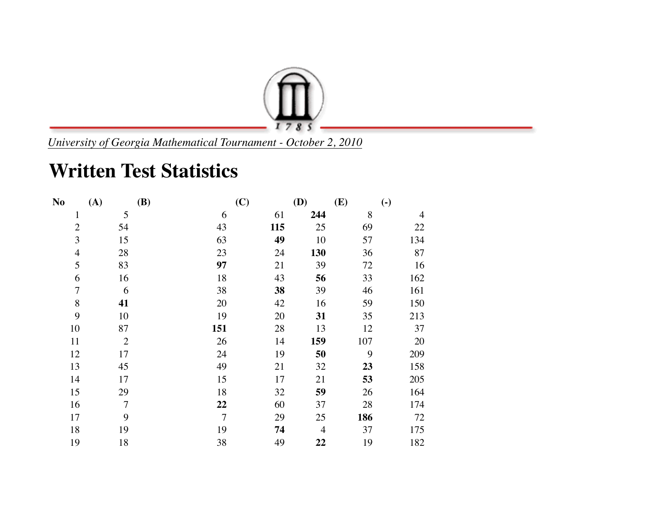

*University of Georgia Mathematical Tournament - October 2, 2010*

## **Written Test Statistics**

| N <sub>o</sub> | (A)            | <b>(B)</b>     | (C) | <b>(D)</b>     | (E) | $\left( \text{-} \right)$ |
|----------------|----------------|----------------|-----|----------------|-----|---------------------------|
| $\mathbf{1}$   | 5              | 6              | 61  | 244            | 8   | $\overline{4}$            |
| $\overline{2}$ | 54             | 43             | 115 | 25             | 69  | 22                        |
| 3              | 15             | 63             | 49  | 10             | 57  | 134                       |
| $\overline{4}$ | 28             | 23             | 24  | 130            | 36  | 87                        |
| 5              | 83             | 97             | 21  | 39             | 72  | 16                        |
| 6              | 16             | 18             | 43  | 56             | 33  | 162                       |
| $\overline{7}$ | 6              | 38             | 38  | 39             | 46  | 161                       |
| $\, 8$         | 41             | 20             | 42  | 16             | 59  | 150                       |
| 9              | 10             | 19             | 20  | 31             | 35  | 213                       |
| 10             | 87             | 151            | 28  | 13             | 12  | 37                        |
| 11             | $\overline{2}$ | 26             | 14  | 159            | 107 | 20                        |
| 12             | 17             | 24             | 19  | 50             | 9   | 209                       |
| 13             | 45             | 49             | 21  | 32             | 23  | 158                       |
| 14             | 17             | 15             | 17  | 21             | 53  | 205                       |
| 15             | 29             | 18             | 32  | 59             | 26  | 164                       |
| 16             | $\overline{7}$ | 22             | 60  | 37             | 28  | 174                       |
| 17             | 9              | $\overline{7}$ | 29  | 25             | 186 | 72                        |
| 18             | 19             | 19             | 74  | $\overline{4}$ | 37  | 175                       |
| 19             | 18             | 38             | 49  | 22             | 19  | 182                       |